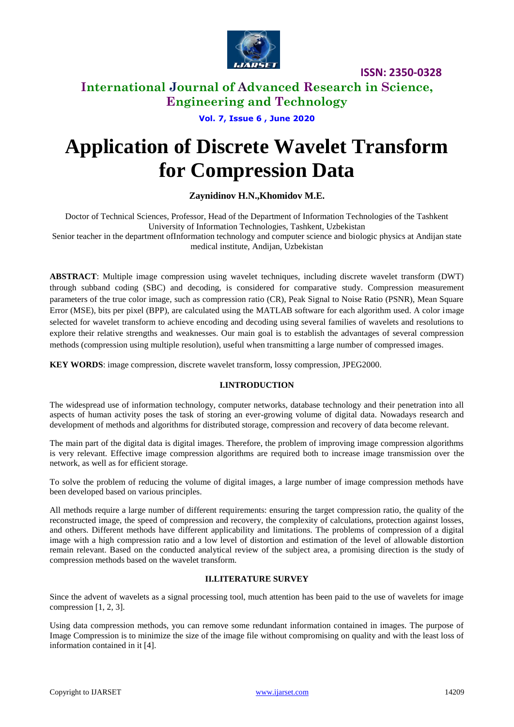

### **International Journal of Advanced Research in Science, Engineering and Technology**

**Vol. 7, Issue 6 , June 2020**

# **Application of Discrete Wavelet Transform for Compression Data**

**Zaynidinov H.N.,Khomidov M.E.**

Doctor of Technical Sciences, Professor, Head of the Department of Information Technologies of the Tashkent University of Information Technologies, Tashkent, Uzbekistan

Senior teacher in the department ofInformation technology and computer science and biologic physics at Andijan state medical institute, Andijan, Uzbekistan

**ABSTRACT**: Multiple image compression using wavelet techniques, including discrete wavelet transform (DWT) through subband coding (SBC) and decoding, is considered for comparative study. Compression measurement parameters of the true color image, such as compression ratio (CR), Peak Signal to Noise Ratio (PSNR), Mean Square Error (MSE), bits per pixel (BPP), are calculated using the MATLAB software for each algorithm used. A color image selected for wavelet transform to achieve encoding and decoding using several families of wavelets and resolutions to explore their relative strengths and weaknesses. Our main goal is to establish the advantages of several compression methods (compression using multiple resolution), useful when transmitting a large number of compressed images.

**KEY WORDS**: image compression, discrete wavelet transform, lossy compression, JPEG2000.

### **I.INTRODUCTION**

The widespread use of information technology, computer networks, database technology and their penetration into all aspects of human activity poses the task of storing an ever-growing volume of digital data. Nowadays research and development of methods and algorithms for distributed storage, compression and recovery of data become relevant.

The main part of the digital data is digital images. Therefore, the problem of improving image compression algorithms is very relevant. Effective image compression algorithms are required both to increase image transmission over the network, as well as for efficient storage.

To solve the problem of reducing the volume of digital images, a large number of image compression methods have been developed based on various principles.

All methods require a large number of different requirements: ensuring the target compression ratio, the quality of the reconstructed image, the speed of compression and recovery, the complexity of calculations, protection against losses, and others. Different methods have different applicability and limitations. The problems of compression of a digital image with a high compression ratio and a low level of distortion and estimation of the level of allowable distortion remain relevant. Based on the conducted analytical review of the subject area, a promising direction is the study of compression methods based on the wavelet transform.

### **II.LITERATURE SURVEY**

Since the advent of wavelets as a signal processing tool, much attention has been paid to the use of wavelets for image compression [1, 2, 3].

Using data compression methods, you can remove some redundant information contained in images. The purpose of Image Compression is to minimize the size of the image file without compromising on quality and with the least loss of information contained in it [4].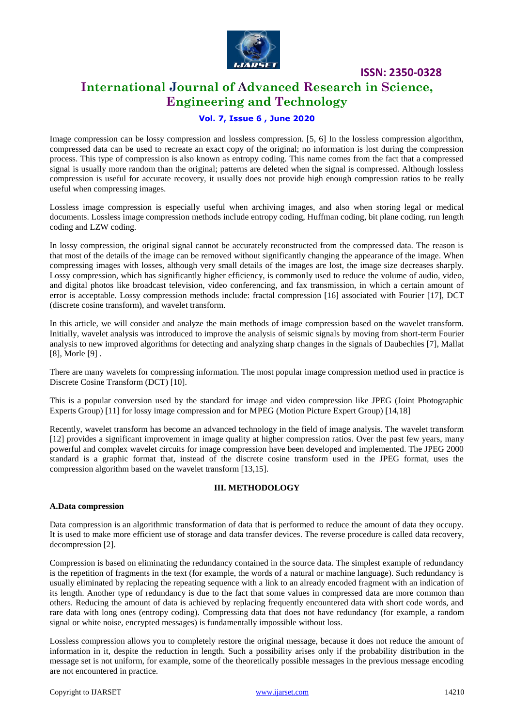

### **International Journal of Advanced Research in Science, Engineering and Technology**

### **Vol. 7, Issue 6 , June 2020**

Image compression can be lossy compression and lossless compression. [5, 6] In the lossless compression algorithm, compressed data can be used to recreate an exact copy of the original; no information is lost during the compression process. This type of compression is also known as entropy coding. This name comes from the fact that a compressed signal is usually more random than the original; patterns are deleted when the signal is compressed. Although lossless compression is useful for accurate recovery, it usually does not provide high enough compression ratios to be really useful when compressing images.

Lossless image compression is especially useful when archiving images, and also when storing legal or medical documents. Lossless image compression methods include entropy coding, Huffman coding, bit plane coding, run length coding and LZW coding.

In lossy compression, the original signal cannot be accurately reconstructed from the compressed data. The reason is that most of the details of the image can be removed without significantly changing the appearance of the image. When compressing images with losses, although very small details of the images are lost, the image size decreases sharply. Lossy compression, which has significantly higher efficiency, is commonly used to reduce the volume of audio, video, and digital photos like broadcast television, video conferencing, and fax transmission, in which a certain amount of error is acceptable. Lossy compression methods include: fractal compression [16] associated with Fourier [17], DCT (discrete cosine transform), and wavelet transform.

In this article, we will consider and analyze the main methods of image compression based on the wavelet transform. Initially, wavelet analysis was introduced to improve the analysis of seismic signals by moving from short-term Fourier analysis to new improved algorithms for detecting and analyzing sharp changes in the signals of Daubechies [7], Mallat [8], Morle [9].

There are many wavelets for compressing information. The most popular image compression method used in practice is Discrete Cosine Transform (DCT) [10].

This is a popular conversion used by the standard for image and video compression like JPEG (Joint Photographic Experts Group) [11] for lossy image compression and for MPEG (Motion Picture Expert Group) [14,18]

Recently, wavelet transform has become an advanced technology in the field of image analysis. The wavelet transform [12] provides a significant improvement in image quality at higher compression ratios. Over the past few years, many powerful and complex wavelet circuits for image compression have been developed and implemented. The JPEG 2000 standard is a graphic format that, instead of the discrete cosine transform used in the JPEG format, uses the compression algorithm based on the wavelet transform [13,15].

### **III. METHODOLOGY**

### **A.Data compression**

Data compression is an algorithmic transformation of data that is performed to reduce the amount of data they occupy. It is used to make more efficient use of storage and data transfer devices. The reverse procedure is called data recovery, decompression [2].

Compression is based on eliminating the redundancy contained in the source data. The simplest example of redundancy is the repetition of fragments in the text (for example, the words of a natural or machine language). Such redundancy is usually eliminated by replacing the repeating sequence with a link to an already encoded fragment with an indication of its length. Another type of redundancy is due to the fact that some values in compressed data are more common than others. Reducing the amount of data is achieved by replacing frequently encountered data with short code words, and rare data with long ones (entropy coding). Compressing data that does not have redundancy (for example, a random signal or white noise, encrypted messages) is fundamentally impossible without loss.

Lossless compression allows you to completely restore the original message, because it does not reduce the amount of information in it, despite the reduction in length. Such a possibility arises only if the probability distribution in the message set is not uniform, for example, some of the theoretically possible messages in the previous message encoding are not encountered in practice.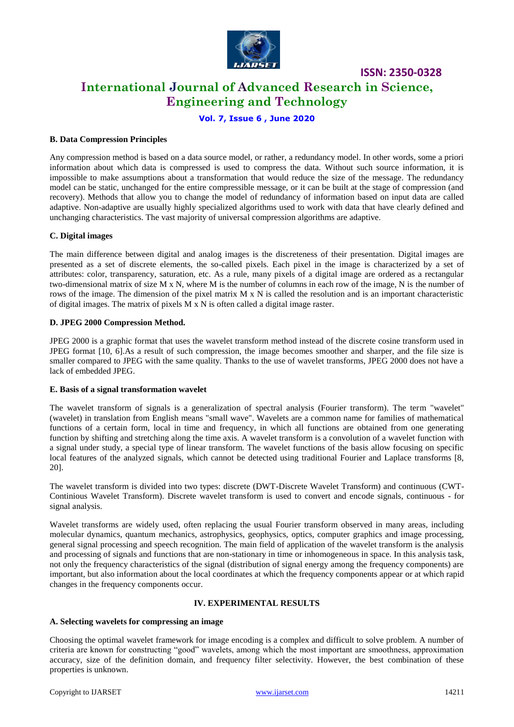

**International Journal of Advanced Research in Science, Engineering and Technology**

**ISSN: 2350-0328**

### **Vol. 7, Issue 6 , June 2020**

### **B. Data Compression Principles**

Any compression method is based on a data source model, or rather, a redundancy model. In other words, some a priori information about which data is compressed is used to compress the data. Without such source information, it is impossible to make assumptions about a transformation that would reduce the size of the message. The redundancy model can be static, unchanged for the entire compressible message, or it can be built at the stage of compression (and recovery). Methods that allow you to change the model of redundancy of information based on input data are called adaptive. Non-adaptive are usually highly specialized algorithms used to work with data that have clearly defined and unchanging characteristics. The vast majority of universal compression algorithms are adaptive.

#### **C. Digital images**

The main difference between digital and analog images is the discreteness of their presentation. Digital images are presented as a set of discrete elements, the so-called pixels. Each pixel in the image is characterized by a set of attributes: color, transparency, saturation, etc. As a rule, many pixels of a digital image are ordered as a rectangular two-dimensional matrix of size M x N, where M is the number of columns in each row of the image, N is the number of rows of the image. The dimension of the pixel matrix M x N is called the resolution and is an important characteristic of digital images. The matrix of pixels M x N is often called a digital image raster.

#### **D. JPEG 2000 Compression Method.**

JPEG 2000 is a graphic format that uses the wavelet transform method instead of the discrete cosine transform used in JPEG format [10, 6].As a result of such compression, the image becomes smoother and sharper, and the file size is smaller compared to JPEG with the same quality. Thanks to the use of wavelet transforms, JPEG 2000 does not have a lack of embedded JPEG.

#### **E. Basis of a signal transformation wavelet**

The wavelet transform of signals is a generalization of spectral analysis (Fourier transform). The term "wavelet" (wavelet) in translation from English means "small wave". Wavelets are a common name for families of mathematical functions of a certain form, local in time and frequency, in which all functions are obtained from one generating function by shifting and stretching along the time axis. A wavelet transform is a convolution of a wavelet function with a signal under study, a special type of linear transform. The wavelet functions of the basis allow focusing on specific local features of the analyzed signals, which cannot be detected using traditional Fourier and Laplace transforms [8, 20].

The wavelet transform is divided into two types: discrete (DWT-Discrete Wavelet Transform) and continuous (CWT-Continious Wavelet Transform). Discrete wavelet transform is used to convert and encode signals, continuous - for signal analysis.

Wavelet transforms are widely used, often replacing the usual Fourier transform observed in many areas, including molecular dynamics, quantum mechanics, astrophysics, geophysics, optics, computer graphics and image processing, general signal processing and speech recognition. The main field of application of the wavelet transform is the analysis and processing of signals and functions that are non-stationary in time or inhomogeneous in space. In this analysis task, not only the frequency characteristics of the signal (distribution of signal energy among the frequency components) are important, but also information about the local coordinates at which the frequency components appear or at which rapid changes in the frequency components occur.

#### **IV. EXPERIMENTAL RESULTS**

#### **A. Selecting wavelets for compressing an image**

Choosing the optimal wavelet framework for image encoding is a complex and difficult to solve problem. A number of criteria are known for constructing "good" wavelets, among which the most important are smoothness, approximation accuracy, size of the definition domain, and frequency filter selectivity. However, the best combination of these properties is unknown.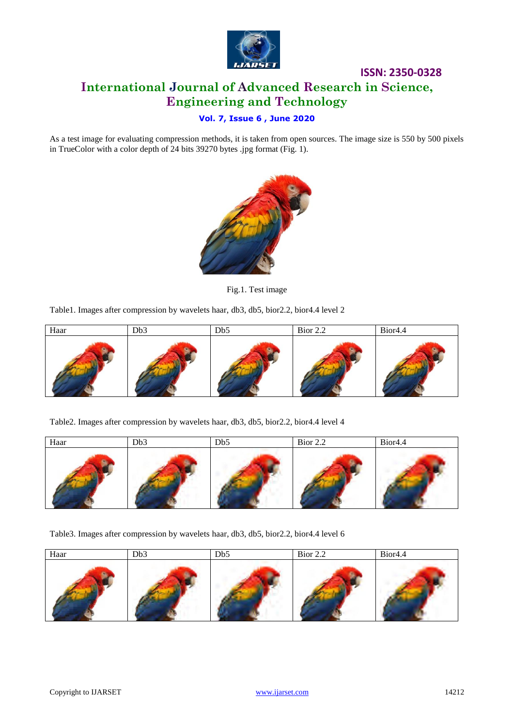

### **ISSN: 2350-0328 International Journal of Advanced Research in Science, Engineering and Technology**

### **Vol. 7, Issue 6 , June 2020**

As a test image for evaluating compression methods, it is taken from open sources. The image size is 550 by 500 pixels in TrueColor with a color depth of 24 bits 39270 bytes .jpg format (Fig. 1).



Fig.1. Test image

Table1. Images after compression by wavelets haar, db3, db5, bior2.2, bior4.4 level 2

| Haar | Db <sub>3</sub> | Db5 | Bior 2.2 | Bior <sub>4.4</sub> |
|------|-----------------|-----|----------|---------------------|
|      |                 |     |          |                     |

Table2. Images after compression by wavelets haar, db3, db5, bior2.2, bior4.4 level 4

| Haar | Db <sub>3</sub> | Db5 | Bior $2.2$ | Bior <sub>4.4</sub> |
|------|-----------------|-----|------------|---------------------|
|      |                 |     |            |                     |

Table3. Images after compression by wavelets haar, db3, db5, bior2.2, bior4.4 level 6

| Haar | Db <sub>3</sub> | Db5 | Bior 2.2 | Bior <sub>4.4</sub> |
|------|-----------------|-----|----------|---------------------|
|      |                 |     |          |                     |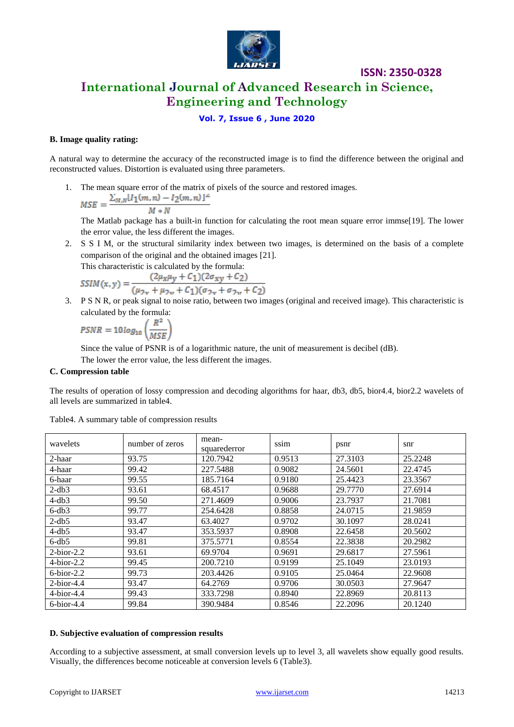

### **International Journal of Advanced Research in Science, Engineering and Technology**

### **Vol. 7, Issue 6 , June 2020**

### **B. Image quality rating:**

A natural way to determine the accuracy of the reconstructed image is to find the difference between the original and reconstructed values. Distortion is evaluated using three parameters.

1. The mean square error of the matrix of pixels of the source and restored images.

$$
MSE = \frac{\sum_{M,N} [I_1(m,n) - I_2(m,n)]}{M*N}
$$

The Matlab package has a built-in function for calculating the root mean square error immse[19]. The lower the error value, the less different the images.

2. S S I M, or the structural similarity index between two images, is determined on the basis of a complete comparison of the original and the obtained images [21].

This characteristic is calculated by the formula:

$$
SSIM(x, y) = \frac{(2\mu_X \mu_Y + C_1)(2\sigma_{xy} + C_2)}{(\mu_{2x} + \mu_{2y} + C_1)(\sigma_{2x} + \sigma_{2y} + C_2)}
$$

3. P S N R, or peak signal to noise ratio, between two images (original and received image). This characteristic is calculated by the formula:

$$
PSNR = 10 log_{10} \left(\frac{R^2}{MSE}\right)
$$

Since the value of PSNR is of a logarithmic nature, the unit of measurement is decibel (dB).

The lower the error value, the less different the images.

### **C. Compression table**

The results of operation of lossy compression and decoding algorithms for haar, db3, db5, bior4.4, bior2.2 wavelets of all levels are summarized in table4.

| wavelets            | number of zeros | mean-<br>squarederror | ssim   | psnr    | snr     |
|---------------------|-----------------|-----------------------|--------|---------|---------|
| 2-haar              | 93.75           | 120.7942              | 0.9513 | 27.3103 | 25.2248 |
| 4-haar              | 99.42           | 227.5488              | 0.9082 | 24.5601 | 22.4745 |
| 6-haar              | 99.55           | 185.7164              | 0.9180 | 25.4423 | 23.3567 |
| $2-db3$             | 93.61           | 68.4517               | 0.9688 | 29.7770 | 27.6914 |
| $4-db3$             | 99.50           | 271.4609              | 0.9006 | 23.7937 | 21.7081 |
| $6-db3$             | 99.77           | 254.6428              | 0.8858 | 24.0715 | 21.9859 |
| $2-db5$             | 93.47           | 63.4027               | 0.9702 | 30.1097 | 28.0241 |
| $4-db5$             | 93.47           | 353.5937              | 0.8908 | 22.6458 | 20.5602 |
| $6-db5$             | 99.81           | 375.5771              | 0.8554 | 22.3838 | 20.2982 |
| $2-bior-2.2$        | 93.61           | 69.9704               | 0.9691 | 29.6817 | 27.5961 |
| $4\text{-}bior-2.2$ | 99.45           | 200.7210              | 0.9199 | 25.1049 | 23.0193 |
| $6\text{-}bior-2.2$ | 99.73           | 203.4426              | 0.9105 | 25.0464 | 22.9608 |
| $2-bior-4.4$        | 93.47           | 64.2769               | 0.9706 | 30.0503 | 27.9647 |
| $4\text{-}bior-4.4$ | 99.43           | 333.7298              | 0.8940 | 22.8969 | 20.8113 |
| $6$ -bior-4.4       | 99.84           | 390.9484              | 0.8546 | 22.2096 | 20.1240 |

Table4. A summary table of compression results

### **D. Subjective evaluation of compression results**

According to a subjective assessment, at small conversion levels up to level 3, all wavelets show equally good results. Visually, the differences become noticeable at conversion levels 6 (Table3).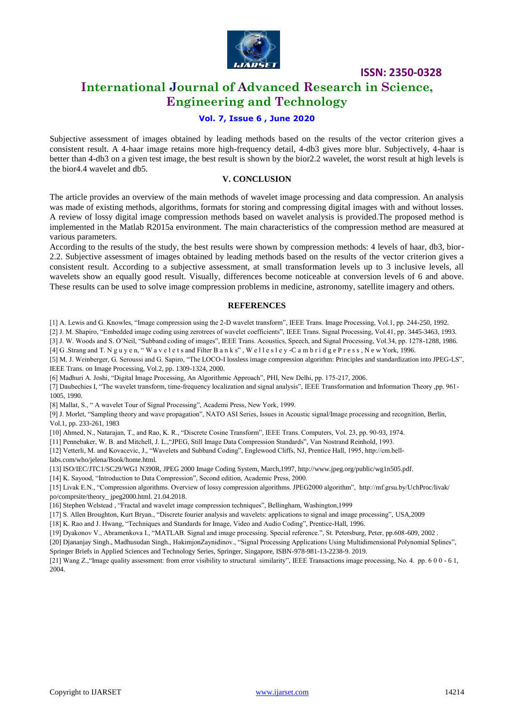

### **International Journal of Advanced Research in Science, Engineering and Technology**

### **Vol. 7, Issue 6 , June 2020**

Subjective assessment of images obtained by leading methods based on the results of the vector criterion gives a consistent result. A 4-haar image retains more high-frequency detail, 4-db3 gives more blur. Subjectively, 4-haar is better than 4-db3 on a given test image, the best result is shown by the bior2.2 wavelet, the worst result at high levels is the bior4.4 wavelet and db5.

### **V. CONCLUSION**

The article provides an overview of the main methods of wavelet image processing and data compression. An analysis was made of existing methods, algorithms, formats for storing and compressing digital images with and without losses. A review of lossy digital image compression methods based on wavelet analysis is provided.The proposed method is implemented in the Matlab R2015a environment. The main characteristics of the compression method are measured at various parameters.

According to the results of the study, the best results were shown by compression methods: 4 levels of haar, db3, bior-2.2. Subjective assessment of images obtained by leading methods based on the results of the vector criterion gives a consistent result. According to a subjective assessment, at small transformation levels up to 3 inclusive levels, all wavelets show an equally good result. Visually, differences become noticeable at conversion levels of 6 and above. These results can be used to solve image compression problems in medicine, astronomy, satellite imagery and others.

### **REFERENCES**

[1] A. Lewis and G. Knowles, "Image compression using the 2-D wavelet transform", IEEE Trans. Image Processing, Vol.1, pp. 244-250, 1992.

[2] J. M. Shapiro, "Embedded image coding using zerotrees of wavelet coefficients", IEEE Trans. Signal Processing, Vol.41, pp. 3445-3463, 1993.

[3] J. W. Woods and S. O'Neil, "Subband coding of images", IEEE Trans. Acoustics, Speech, and Signal Processing, Vol.34, pp. 1278-1288, 1986.

[4] G .Strang and T. N g u y e n, " W a v e l e t s and Filter B a n k s" , W e l l e s l e y -C a m b r i d g e P r e s s , N e w York, 1996.

[5] M. J. Weinberger, G. Seroussi and G. Sapiro, "The LOCO-I lossless image compression algorithm: Principles and standardization into JPEG-LS", IEEE Trans. on Image Processing, Vol.2, pp. 1309-1324, 2000.

[6] Madhuri A. Joshi, "Digital Image Processing, An Algorithmic Approach", PHI, New Delhi, pp. 175-217, 2006.

[7] Daubechies I, "The wavelet transform, time-frequency localization and signal analysis", IEEE Transformation and Information Theory ,pp. 961- 1005, 1990.

[8] Mallat, S., " A wavelet Tour of Signal Processing", Academi Press, New York, 1999.

[9] J. Morlet, "Sampling theory and wave propagation", NATO ASI Series, Issues in Acoustic signal/Image processing and recognition, Berlin, Vol.1, pp. 233-261, 1983

[10] Ahmed, N., Natarajan, T., and Rao, K. R., "Discrete Cosine Transform", IEEE Trans. Computers, Vol. 23, pp. 90-93, 1974.

[11] Pennebaker, W. B. and Mitchell, J. L.,"JPEG, Still Image Data Compression Standards", Van Nostrand Reinhold, 1993.

[12] Vetterli, M. and Kovacevic, J., "Wavelets and Subband Coding", Englewood Cliffs, NJ, Prentice Hall, 1995, http://cm.belllabs.com/who/jelena/Book/home.html.

[13] ISO/IEC/JTC1/SC29/WG1 N390R, JPEG 2000 Image Coding System, March,1997, http://www.jpeg.org/public/wg1n505.pdf.

[14] K. Sayood, "Introduction to Data Compression", Second edition, Academic Press, 2000.

[15] Livak E.N., "Compression algorithms. Overview of lossy compression algorithms. JPEG2000 algorithm", http://mf.grsu.by/UchProc/livak/ po/comprsite/theory\_ jpeg2000.html. 21.04.2018.

[16] Stephen Welstead , "Fractal and wavelet image compression techniques", Bellingham, Washington,1999

[17] S. Allen Broughton, Kurt Bryan., "Discrete fourier analysis and wavelets: applications to signal and image processing", USA,2009

[18] K. Rao and J. Hwang, "Techniques and Standards for Image, Video and Audio Coding", Prentice-Hall, 1996.

[19] Dyakonov V., Abramenkova I., "MATLAB. Signal and image processing. Special reference.", St. Petersburg, Peter, pp.608-609, 2002 .

[20] Djananjay Singh., Madhusudan Singh., HakimjonZaynidinov., "Signal Processing Applications Using Multidimensional Polynomial Splines", Springer Briefs in Applied Sciences and Technology Series, Springer, Singapore, ISBN-978-981-13-2238-9. 2019.

[21] Wang Z.,"Image quality assessment: from error visibility to structural similarity", IEEE Transactions image processing, No. 4. pp. 6 0 0 - 6 1, 2004.